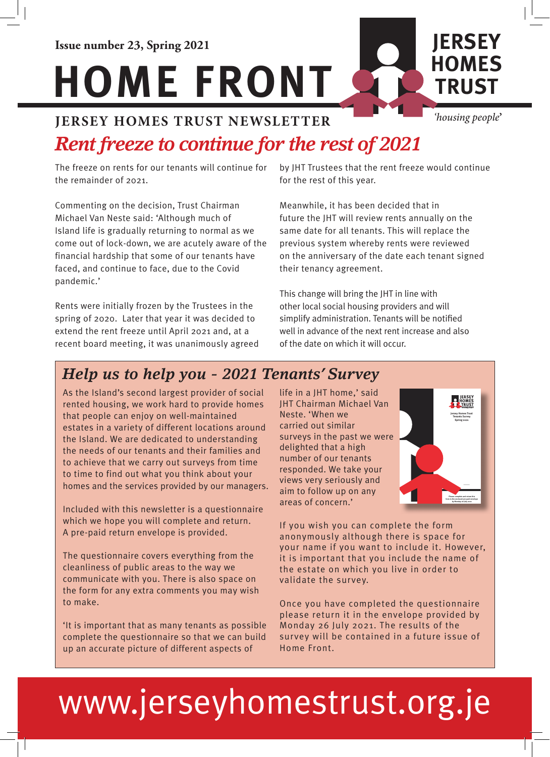#### **JERSEY HOMES TRUST NEWSLETTER** *'housing people***'**

# *Rent freeze to continue for the rest of 2021*

The freeze on rents for our tenants will continue for the remainder of 2021.

Commenting on the decision, Trust Chairman Michael Van Neste said: 'Although much of Island life is gradually returning to normal as we come out of lock-down, we are acutely aware of the financial hardship that some of our tenants have faced, and continue to face, due to the Covid pandemic.'

Rents were initially frozen by the Trustees in the spring of 2020. Later that year it was decided to extend the rent freeze until April 2021 and, at a recent board meeting, it was unanimously agreed by JHT Trustees that the rent freeze would continue for the rest of this year.

Meanwhile, it has been decided that in future the JHT will review rents annually on the same date for all tenants. This will replace the previous system whereby rents were reviewed on the anniversary of the date each tenant signed their tenancy agreement.

This change will bring the JHT in line with other local social housing providers and will simplify administration. Tenants will be notified well in advance of the next rent increase and also of the date on which it will occur.

## *Help us to help you - 2021 Tenants' Survey*

As the Island's second largest provider of social rented housing, we work hard to provide homes that people can enjoy on well-maintained estates in a variety of different locations around the Island. We are dedicated to understanding the needs of our tenants and their families and to achieve that we carry out surveys from time to time to find out what you think about your homes and the services provided by our managers.

Included with this newsletter is a questionnaire which we hope you will complete and return. A pre-paid return envelope is provided.

The questionnaire covers everything from the cleanliness of public areas to the way we communicate with you. There is also space on the form for any extra comments you may wish to make.

'It is important that as many tenants as possible complete the questionnaire so that we can build up an accurate picture of different aspects of

life in a JHT home,' said JHT Chairman Michael Van Neste. 'When we carried out similar surveys in the past we were delighted that a high number of our tenants responded. We take your views very seriously and aim to follow up on any areas of concern.'



If you wish you can complete the form anonymously although there is space for your name if you want to include it. However, it is important that you include the name of the estate on which you live in order to validate the survey.

Once you have completed the questionnaire please return it in the envelope provided by Monday 26 July 2021. The results of the survey will be contained in a future issue of Home Front.

# www.jerseyhomestrust.org.je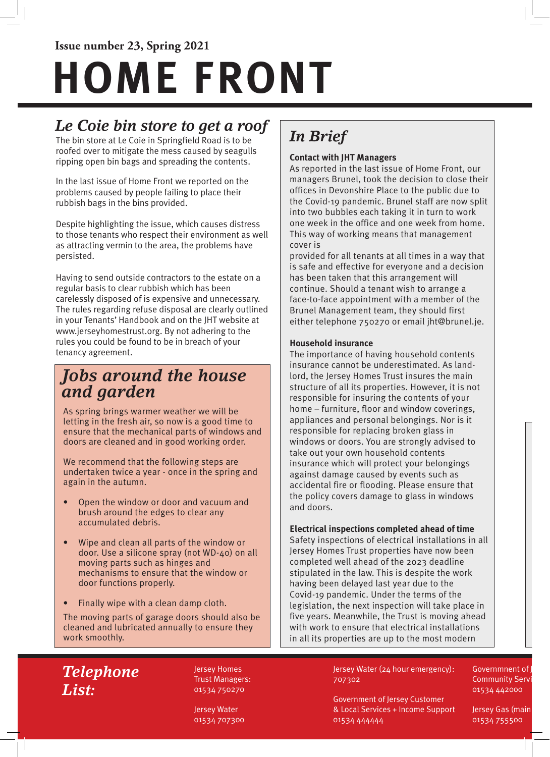# **Issue number 23, Spring 2021 HOME FRONT**

## *Le Coie bin store to get a roof*

The bin store at Le Coie in Springfield Road is to be roofed over to mitigate the mess caused by seagulls ripping open bin bags and spreading the contents.

In the last issue of Home Front we reported on the problems caused by people failing to place their rubbish bags in the bins provided.

Despite highlighting the issue, which causes distress to those tenants who respect their environment as well as attracting vermin to the area, the problems have persisted.

Having to send outside contractors to the estate on a regular basis to clear rubbish which has been carelessly disposed of is expensive and unnecessary. The rules regarding refuse disposal are clearly outlined in your Tenants' Handbook and on the JHT website at www.jerseyhomestrust.org. By not adhering to the rules you could be found to be in breach of your tenancy agreement.

#### *Jobs around the house and garden*

As spring brings warmer weather we will be letting in the fresh air, so now is a good time to ensure that the mechanical parts of windows and doors are cleaned and in good working order.

We recommend that the following steps are undertaken twice a year - once in the spring and again in the autumn.

- Open the window or door and vacuum and brush around the edges to clear any accumulated debris.
- Wipe and clean all parts of the window or door. Use a silicone spray (not WD-40) on all moving parts such as hinges and mechanisms to ensure that the window or door functions properly.
- Finally wipe with a clean damp cloth.

The moving parts of garage doors should also be cleaned and lubricated annually to ensure they work smoothly.

# *In Brief*

#### **Contact with JHT Managers**

As reported in the last issue of Home Front, our managers Brunel, took the decision to close their offices in Devonshire Place to the public due to the Covid-19 pandemic. Brunel staff are now split into two bubbles each taking it in turn to work one week in the office and one week from home. This way of working means that management cover is

provided for all tenants at all times in a way that is safe and effective for everyone and a decision has been taken that this arrangement will continue. Should a tenant wish to arrange a face-to-face appointment with a member of the Brunel Management team, they should first either telephone 750270 or email jht@brunel.je.

#### **Household insurance**

The importance of having household contents insurance cannot be underestimated. As landlord, the Jersey Homes Trust insures the main structure of all its properties. However, it is not responsible for insuring the contents of your home – furniture, floor and window coverings, appliances and personal belongings. Nor is it responsible for replacing broken glass in windows or doors. You are strongly advised to take out your own household contents insurance which will protect your belongings against damage caused by events such as accidental fire or flooding. Please ensure that the policy covers damage to glass in windows and doors.

#### **Electrical inspections completed ahead of time**

Safety inspections of electrical installations in all Jersey Homes Trust properties have now been completed well ahead of the 2023 deadline stipulated in the law. This is despite the work having been delayed last year due to the Covid-19 pandemic. Under the terms of the legislation, the next inspection will take place in five years. Meanwhile, the Trust is moving ahead with work to ensure that electrical installations in all its properties are up to the most modern

#### *Telephone List:*

Jersey Homes Trust Managers: 01534 750270

Jersey Water 01534 707300 Jersey Water (24 hour emergency): 707302

Government of Jersey Customer & Local Services + Income Support 01534 444444

Governmnent of **Community Serv** 01534 442000

Jersey Gas (main 01534 755500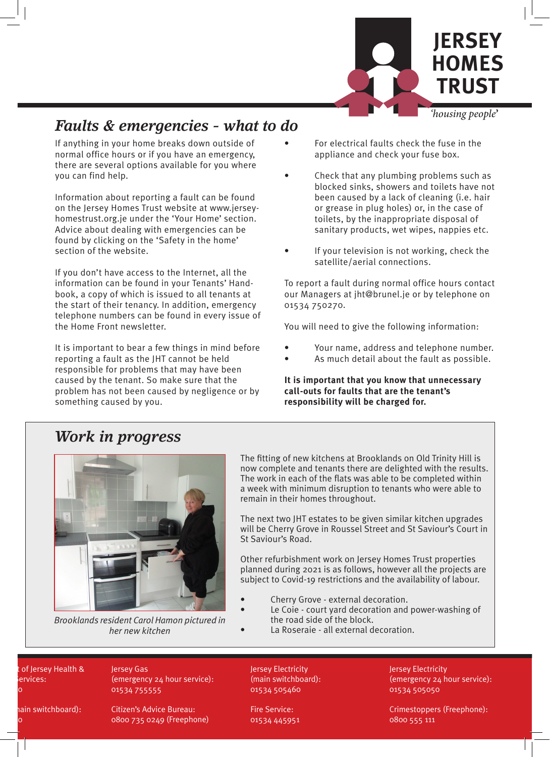

#### *Faults & emergencies - what to do*

If anything in your home breaks down outside of normal office hours or if you have an emergency, there are several options available for you where you can find help.

Information about reporting a fault can be found on the Jersey Homes Trust website at www.jerseyhomestrust.org.je under the 'Your Home' section. Advice about dealing with emergencies can be found by clicking on the 'Safety in the home' section of the website.

If you don't have access to the Internet, all the information can be found in your Tenants' Handbook, a copy of which is issued to all tenants at the start of their tenancy. In addition, emergency telephone numbers can be found in every issue of the Home Front newsletter.

It is important to bear a few things in mind before reporting a fault as the JHT cannot be held responsible for problems that may have been caused by the tenant. So make sure that the problem has not been caused by negligence or by something caused by you.

- For electrical faults check the fuse in the appliance and check your fuse box.
- Check that any plumbing problems such as blocked sinks, showers and toilets have not been caused by a lack of cleaning (i.e. hair or grease in plug holes) or, in the case of toilets, by the inappropriate disposal of sanitary products, wet wipes, nappies etc.
- If your television is not working, check the satellite/aerial connections.

To report a fault during normal office hours contact our Managers at jht@brunel.je or by telephone on 01534 750270.

You will need to give the following information:

- Your name, address and telephone number.
- As much detail about the fault as possible.

**It is important that you know that unnecessary call-outs for faults that are the tenant's responsibility will be charged for.**

#### *Work in progress*



*Brooklands resident Carol Hamon pictured in her new kitchen*

The fitting of new kitchens at Brooklands on Old Trinity Hill is now complete and tenants there are delighted with the results. The work in each of the flats was able to be completed within a week with minimum disruption to tenants who were able to remain in their homes throughout.

The next two JHT estates to be given similar kitchen upgrades will be Cherry Grove in Roussel Street and St Saviour's Court in St Saviour's Road.

Other refurbishment work on Jersey Homes Trust properties planned during 2021 is as follows, however all the projects are subject to Covid-19 restrictions and the availability of labour.

- Cherry Grove external decoration.
	- Le Coie court yard decoration and power-washing of the road side of the block.
	- La Roseraie all external decoration.

of Jersey Health & ervices:  $\overline{\phantom{a}}$ 

hain switchboard):

 $\overline{\mathsf{O}}$ 

Jersey Gas (emergency 24 hour service): 01534 755555

Citizen's Advice Bureau: 0800 735 0249 (Freephone) Jersey Electricity (main switchboard): 01534 505460

Fire Service: 01534 445951 Jersey Electricity (emergency 24 hour service): 01534 505050

Crimestoppers (Freephone): 0800 555 111